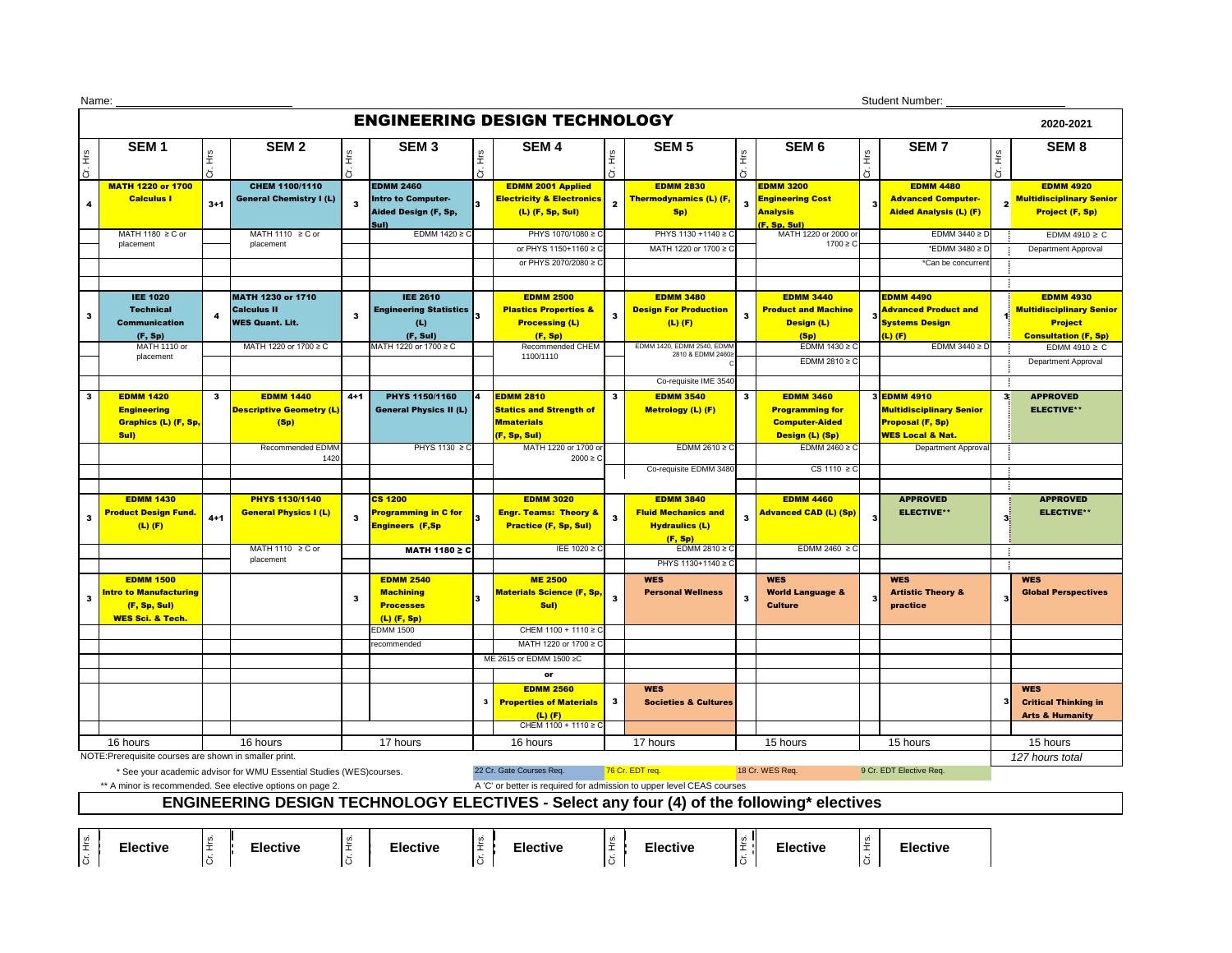| Name:                                                                                                                               |                                                                                                                                                                                                                            |              |                                 |              |                               |           |                                      |                 |                                                                                           |              |                                 |          | <b>Student Number:</b>            |                |                                 |
|-------------------------------------------------------------------------------------------------------------------------------------|----------------------------------------------------------------------------------------------------------------------------------------------------------------------------------------------------------------------------|--------------|---------------------------------|--------------|-------------------------------|-----------|--------------------------------------|-----------------|-------------------------------------------------------------------------------------------|--------------|---------------------------------|----------|-----------------------------------|----------------|---------------------------------|
|                                                                                                                                     |                                                                                                                                                                                                                            |              |                                 |              |                               |           | <b>ENGINEERING DESIGN TECHNOLOGY</b> |                 |                                                                                           |              |                                 |          |                                   |                | 2020-2021                       |
|                                                                                                                                     | SEM <sub>1</sub>                                                                                                                                                                                                           | Ξ            | SEM <sub>2</sub>                | £ء           | SEM <sub>3</sub>              | ΩL        | SEM <sub>4</sub>                     | $\frac{6}{10}$  | <b>SEM 5</b>                                                                              | Ηrs          | SEM <sub>6</sub>                | Ξ,       | <b>SEM7</b>                       | Ξ              | SEM <sub>8</sub>                |
| Cr. Hrs                                                                                                                             |                                                                                                                                                                                                                            | ă            |                                 | ă            |                               | $\vec{5}$ |                                      | 5               |                                                                                           | 5            |                                 | ö        |                                   | ö              |                                 |
|                                                                                                                                     | <b>MATH 1220 or 1700</b>                                                                                                                                                                                                   |              | CHEM 1100/1110                  |              | <b>EDMM 2460</b>              |           | <b>EDMM 2001 Applied</b>             |                 | <b>EDMM 2830</b>                                                                          |              | <b>EDMM 3200</b>                |          | <b>EDMM 4480</b>                  |                | <b>EDMM 4920</b>                |
| 4                                                                                                                                   | <b>Calculus I</b>                                                                                                                                                                                                          | $3 + 1$      | <b>General Chemistry I (L)</b>  | $\mathbf{3}$ | <b>Intro to Computer-</b>     | 3         | <b>Electricity &amp; Electronics</b> | $\mathbf{2}$    | <b>Thermodynamics (L) (F,</b>                                                             | $\mathbf{3}$ | <b>Engineering Cost</b>         |          | <b>Advanced Computer-</b>         | $2^{\mid}$     | <b>Multidisciplinary Senior</b> |
|                                                                                                                                     |                                                                                                                                                                                                                            |              |                                 |              | Aided Design (F, Sp,<br>Sul)  |           | $(L)$ (F, Sp, Sul)                   |                 | Sp)                                                                                       |              | <b>Analysis</b><br>(F. Sp. Sul) |          | <b>Aided Analysis (L) (F)</b>     |                | <b>Project (F, Sp)</b>          |
|                                                                                                                                     | MATH 1180 $\geq$ C or                                                                                                                                                                                                      |              | MATH 1110 $\geq$ C or           |              | EDMM $1420 \ge C$             |           | PHYS 1070/1080 ≥ C                   |                 | PHYS 1130 +1140 ≥ C                                                                       |              | MATH 1220 or 2000 or            |          | EDMM $3440 \ge D$                 |                | EDMM 4910 $\geq$ C              |
|                                                                                                                                     | placement                                                                                                                                                                                                                  |              | placement                       |              |                               |           | or PHYS 1150+1160 ≥ C                |                 | MATH 1220 or 1700 ≥ C                                                                     |              | $1700 \ge C$                    |          | *EDMM 3480 ≥ D                    |                | Department Approval             |
|                                                                                                                                     |                                                                                                                                                                                                                            |              |                                 |              |                               |           | or PHYS 2070/2080 ≥ C                |                 |                                                                                           |              |                                 |          | *Can be concurren                 |                |                                 |
|                                                                                                                                     |                                                                                                                                                                                                                            |              |                                 |              |                               |           |                                      |                 |                                                                                           |              |                                 |          |                                   | ÷              |                                 |
|                                                                                                                                     | <b>IEE 1020</b>                                                                                                                                                                                                            |              | <b>MATH 1230 or 1710</b>        |              | <b>IEE 2610</b>               |           | <b>EDMM 2500</b>                     |                 | <b>EDMM 3480</b>                                                                          |              | <b>EDMM 3440</b>                |          | <b>EDMM 4490</b>                  |                | <b>EDMM 4930</b>                |
|                                                                                                                                     | <b>Technical</b>                                                                                                                                                                                                           |              | <b>Calculus II</b>              |              | <b>Engineering Statistics</b> |           | <b>Plastics Properties &amp;</b>     |                 | <b>Design For Production</b>                                                              |              | <b>Product and Machine</b>      |          | <b>Advanced Product and</b>       |                | <b>Multidisciplinary Senior</b> |
| $\mathbf{3}$                                                                                                                        | <b>Communication</b>                                                                                                                                                                                                       |              | <b>WES Quant. Lit.</b>          | $\mathbf{3}$ | (L)                           |           | <b>Processing (L)</b>                | $\mathbf{3}$    | $(L)$ (F)                                                                                 | 3            | Design (L)                      |          | <b>Systems Design</b>             |                | <b>Project</b>                  |
|                                                                                                                                     | (F, Sp)                                                                                                                                                                                                                    |              |                                 |              | (F, Sul)                      |           | (F, Sp)                              |                 |                                                                                           |              | (Sp)                            |          | $(L)$ (F)                         |                | <b>Consultation (F, Sp)</b>     |
|                                                                                                                                     | <b>MATH 1110 or</b><br>placement                                                                                                                                                                                           |              | MATH 1220 or 1700 ≥ C           |              | MATH 1220 or 1700 ≥ C         |           | Recommended CHEM<br>1100/1110        |                 | EDMM 1420, EDMM 2540, EDMM<br>2810 & EDMM 2460≥                                           |              | EDMM $1430 \ge C$               |          | EDMM $3440 \ge D$                 |                | EDMM 4910 $\geq$ C              |
|                                                                                                                                     |                                                                                                                                                                                                                            |              |                                 |              |                               |           |                                      |                 |                                                                                           |              | EDMM 2810 $\geq$ C              |          |                                   |                | Department Approval             |
|                                                                                                                                     |                                                                                                                                                                                                                            |              |                                 |              |                               |           |                                      |                 | Co-requisite IME 3540                                                                     |              |                                 |          |                                   | -1             |                                 |
| 3                                                                                                                                   | <b>EDMM 1420</b>                                                                                                                                                                                                           | $\mathbf{3}$ | <b>EDMM 1440</b>                | $4 + 1$      | <b>PHYS 1150/1160</b>         | 14        | <b>EDMM 2810</b>                     | $\mathbf{3}$    | <b>EDMM 3540</b>                                                                          | $\mathbf{3}$ | <b>EDMM 3460</b>                |          | 3EDMM 4910                        | 3 <sup>1</sup> | <b>APPROVED</b>                 |
|                                                                                                                                     | <b>Engineering</b>                                                                                                                                                                                                         |              | <b>Descriptive Geometry (L)</b> |              | <b>General Physics II (L)</b> |           | <b>Statics and Strength of</b>       |                 | <b>Metrology (L) (F)</b>                                                                  |              | <b>Programming for</b>          |          | <b>Multidisciplinary Senior</b>   |                | <b>ELECTIVE**</b>               |
|                                                                                                                                     | <b>Graphics (L) (F, Sp,</b>                                                                                                                                                                                                |              | (Sp)                            |              |                               |           | <b>Mmaterials</b>                    |                 |                                                                                           |              | <b>Computer-Aided</b>           |          | <b>Proposal (F, Sp)</b>           |                |                                 |
|                                                                                                                                     | Sul)                                                                                                                                                                                                                       |              |                                 |              |                               |           | (F, Sp, Sul)                         |                 |                                                                                           |              | <b>Design (L) (Sp)</b>          |          | <mark>WES Local &amp; Nat.</mark> |                |                                 |
|                                                                                                                                     |                                                                                                                                                                                                                            |              | Recommended EDMM<br>1420        |              | PHYS 1130 $\geq$ C            |           | MATH 1220 or 1700 or<br>$2000 \ge C$ |                 | EDMM 2610 $\geq$ C                                                                        |              | EDMM 2460 $\geq$ C              |          | Department Approval               |                |                                 |
|                                                                                                                                     |                                                                                                                                                                                                                            |              |                                 |              |                               |           |                                      |                 | Co-requisite EDMM 3480                                                                    |              | CS 1110 $\geq$ C                |          |                                   |                |                                 |
|                                                                                                                                     |                                                                                                                                                                                                                            |              |                                 |              |                               |           |                                      |                 |                                                                                           |              |                                 |          |                                   | -11            |                                 |
|                                                                                                                                     | <b>EDMM 1430</b>                                                                                                                                                                                                           |              | <b>PHYS 1130/1140</b>           |              | <b>CS 1200</b>                |           | <b>EDMM 3020</b>                     |                 | <b>EDMM 3840</b>                                                                          |              | <b>EDMM 4460</b>                |          | <b>APPROVED</b>                   |                | <b>APPROVED</b>                 |
| 3                                                                                                                                   | <b>Product Design Fund.</b>                                                                                                                                                                                                | $4 + 1$      | <b>General Physics I (L)</b>    | $\mathbf{3}$ | Programming in C for          |           | <b>Engr. Teams: Theory &amp;</b>     | 3               | <b>Fluid Mechanics and</b>                                                                | 3            | <b>Advanced CAD (L) (Sp)</b>    |          | <b>ELECTIVE**</b>                 | 3 <sup>1</sup> | <b>ELECTIVE**</b>               |
|                                                                                                                                     | $(L)$ (F)                                                                                                                                                                                                                  |              |                                 |              | <b>Engineers (F,Sp</b>        |           | <b>Practice (F, Sp, Sul)</b>         |                 | <b>Hydraulics (L)</b>                                                                     |              |                                 |          |                                   |                |                                 |
|                                                                                                                                     |                                                                                                                                                                                                                            |              | MATH 1110 $\geq$ C or           |              | <b>MATH 1180 ≥ C</b>          |           | IEE 1020 ≥ C                         |                 | (F, Sp)<br>EDMM 2810 $\geq$ C                                                             |              | EDMM 2460 $\geq$ C              |          |                                   |                |                                 |
|                                                                                                                                     |                                                                                                                                                                                                                            |              | placement                       |              |                               |           |                                      |                 | PHYS 1130+1140 ≥ C                                                                        |              |                                 |          |                                   | ÷<br>÷         |                                 |
|                                                                                                                                     | <b>EDMM 1500</b>                                                                                                                                                                                                           |              |                                 |              | <b>EDMM 2540</b>              |           | <b>ME 2500</b>                       |                 | <b>WES</b>                                                                                |              | <b>WES</b>                      |          | <b>WES</b>                        |                | <b>WES</b>                      |
|                                                                                                                                     | <u>Intro to Manufacturing</u>                                                                                                                                                                                              |              |                                 |              | <b>Machining</b>              |           | <b>Materials Science (F, Sp,</b>     |                 | <b>Personal Wellness</b>                                                                  |              | <b>World Language &amp;</b>     |          | <b>Artistic Theory &amp;</b>      |                | <b>Global Perspectives</b>      |
| $\mathbf{3}$                                                                                                                        | (F, Sp, Sul)                                                                                                                                                                                                               |              |                                 | 3            | <b>Processes</b>              | 3         | Sul)                                 | $\mathbf{3}$    |                                                                                           | -3           | <b>Culture</b>                  | 3        | practice                          | 3              |                                 |
|                                                                                                                                     | <b>WES Sci. &amp; Tech.</b>                                                                                                                                                                                                |              |                                 |              | $(L)$ (F, Sp)                 |           |                                      |                 |                                                                                           |              |                                 |          |                                   |                |                                 |
|                                                                                                                                     |                                                                                                                                                                                                                            |              |                                 |              | <b>EDMM 1500</b>              |           | CHEM 1100 + 1110 ≥ C                 |                 |                                                                                           |              |                                 |          |                                   |                |                                 |
|                                                                                                                                     |                                                                                                                                                                                                                            |              |                                 |              | recommended                   |           | MATH 1220 or 1700 ≥ C                |                 |                                                                                           |              |                                 |          |                                   |                |                                 |
|                                                                                                                                     |                                                                                                                                                                                                                            |              |                                 |              |                               |           | ME 2615 or EDMM 1500 ≥C              |                 |                                                                                           |              |                                 |          |                                   |                |                                 |
|                                                                                                                                     |                                                                                                                                                                                                                            |              |                                 |              |                               |           | or                                   |                 |                                                                                           |              |                                 |          |                                   |                |                                 |
|                                                                                                                                     |                                                                                                                                                                                                                            |              |                                 |              |                               |           | <b>EDMM 2560</b>                     |                 | <b>WES</b>                                                                                |              |                                 |          |                                   |                | <b>WES</b>                      |
|                                                                                                                                     |                                                                                                                                                                                                                            |              |                                 |              |                               |           | <b>Properties of Materials</b>       | $\mathbf{3}$    | <b>Societies &amp; Cultures</b>                                                           |              |                                 |          |                                   |                | <b>Critical Thinking in</b>     |
|                                                                                                                                     |                                                                                                                                                                                                                            |              |                                 |              |                               |           | $(L)$ $(F)$<br>CHEM 1100 + 1110 ≥ C  |                 |                                                                                           |              |                                 |          |                                   |                | <b>Arts &amp; Humanity</b>      |
|                                                                                                                                     | 16 hours                                                                                                                                                                                                                   |              | 16 hours                        |              | 17 hours                      |           | 16 hours                             |                 | 17 hours                                                                                  |              | 15 hours                        |          | 15 hours                          |                | 15 hours                        |
|                                                                                                                                     |                                                                                                                                                                                                                            |              |                                 |              |                               |           |                                      | 127 hours total |                                                                                           |              |                                 |          |                                   |                |                                 |
|                                                                                                                                     | NOTE: Prerequisite courses are shown in smaller print.<br>76 Cr. EDT req.<br>* See your academic advisor for WMU Essential Studies (WES)courses.<br>22 Cr. Gate Courses Req.<br>18 Cr. WES Req.<br>9 Cr. EDT Elective Req. |              |                                 |              |                               |           |                                      |                 |                                                                                           |              |                                 |          |                                   |                |                                 |
| ** A minor is recommended. See elective options on page 2.<br>A 'C' or better is required for admission to upper level CEAS courses |                                                                                                                                                                                                                            |              |                                 |              |                               |           |                                      |                 |                                                                                           |              |                                 |          |                                   |                |                                 |
|                                                                                                                                     |                                                                                                                                                                                                                            |              |                                 |              |                               |           |                                      |                 | ENGINEERING DESIGN TECHNOLOGY ELECTIVES - Select any four (4) of the following* electives |              |                                 |          |                                   |                |                                 |
|                                                                                                                                     |                                                                                                                                                                                                                            |              |                                 |              |                               |           |                                      |                 |                                                                                           |              |                                 |          |                                   |                |                                 |
|                                                                                                                                     |                                                                                                                                                                                                                            |              |                                 |              |                               |           |                                      |                 |                                                                                           |              |                                 |          |                                   |                |                                 |
| Cr. Hrs.                                                                                                                            | <b>Elective</b>                                                                                                                                                                                                            | ir. Hrs.     | <b>Elective</b>                 | ir. Hrs.     | <b>Elective</b>               | Cr. Hrs.  | <b>Elective</b>                      | Cr. Hrs.        | <b>Elective</b>                                                                           | Cr. Hrs.     | <b>Elective</b>                 | Cr. Hrs. | <b>Elective</b>                   |                |                                 |
|                                                                                                                                     |                                                                                                                                                                                                                            |              |                                 |              |                               |           |                                      |                 |                                                                                           |              |                                 |          |                                   |                |                                 |